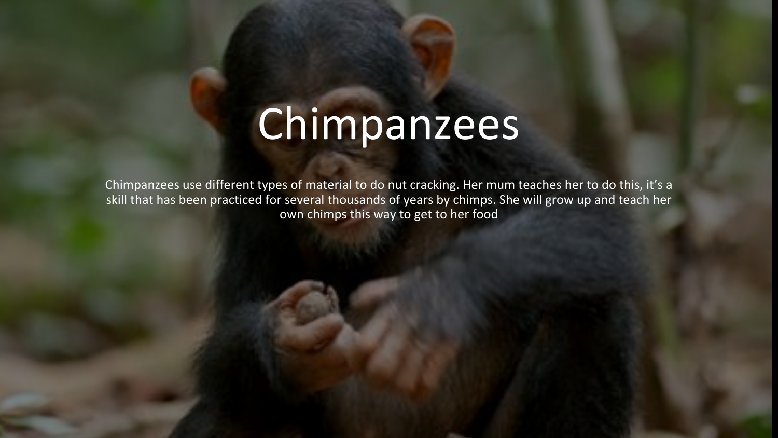# Chimpanzees

Chimpanzees use different types of material to do nut cracking. Her mum teaches her to do this, it's a skill that has been practiced for several thousands of years by chimps. She will grow up and teach her own chimps this way to get to her food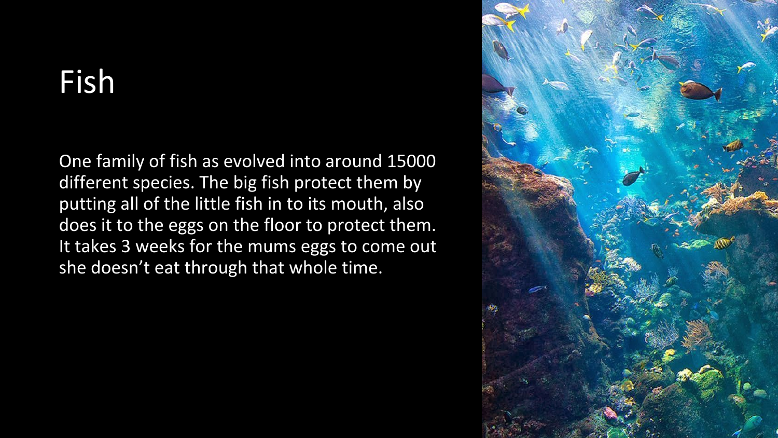## Fish

One family of fish as evolved into around 15000 different species. The big fish protect them by putting all of the little fish in to its mouth, also does it to the eggs on the floor to protect them. It takes 3 weeks for the mums eggs to come out she doesn't eat through that whole time.

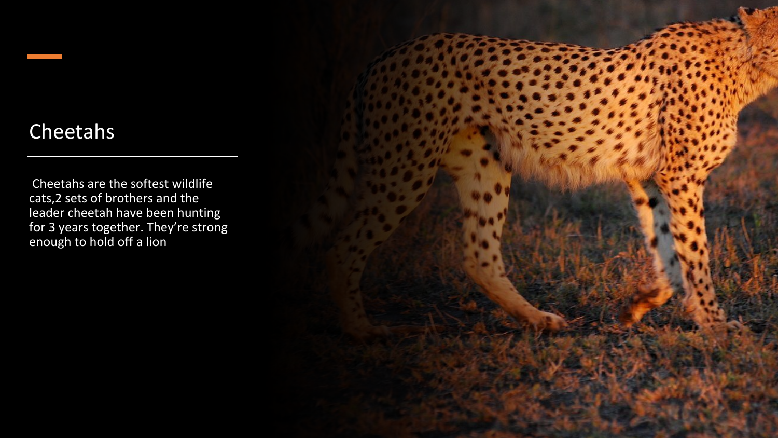#### Cheetahs

 Cheetahs are the softest wildlife cats,2 sets of brothers and the leader cheetah have been hunting for 3 years together. They're strong enough to hold off a lion

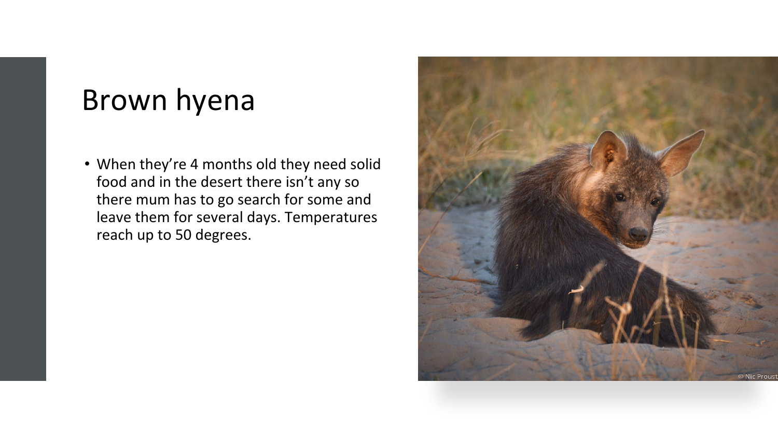## Brown hyena

• When they're 4 months old they need solid food and in the desert there isn't any so there mum has to go search for some and leave them for several days. Temperatures reach up to 50 degrees.